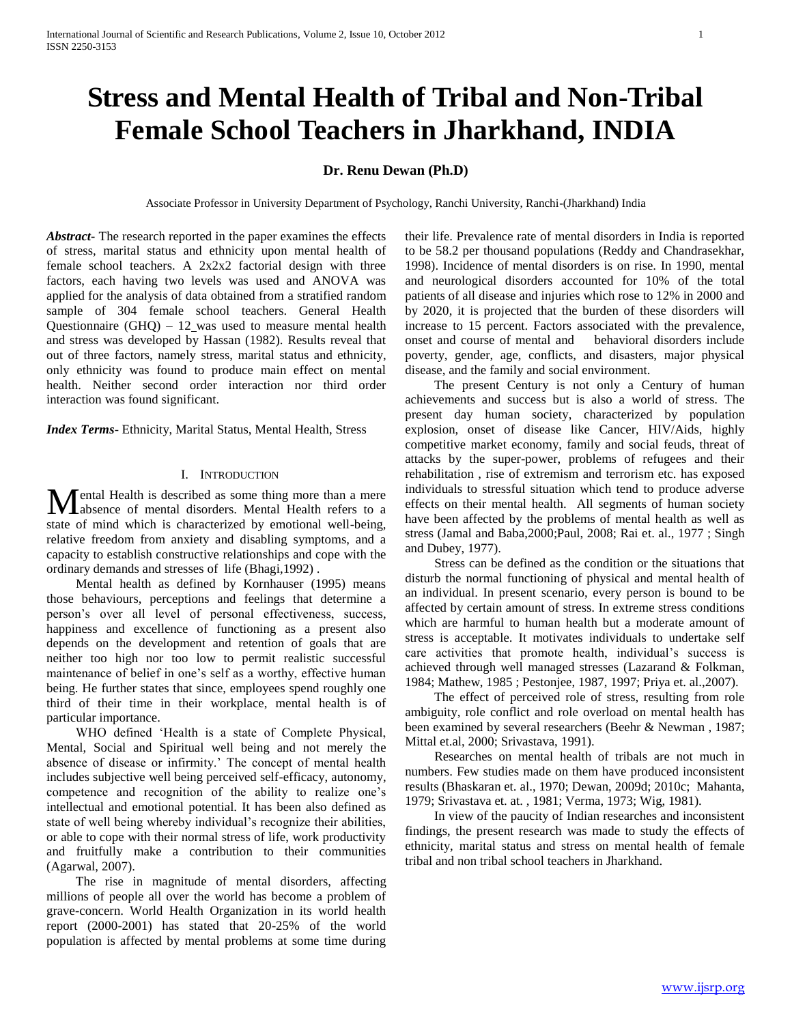# **Stress and Mental Health of Tribal and Non-Tribal Female School Teachers in Jharkhand, INDIA**

# **Dr. Renu Dewan (Ph.D)**

Associate Professor in University Department of Psychology, Ranchi University, Ranchi-(Jharkhand) India

*Abstract***-** The research reported in the paper examines the effects of stress, marital status and ethnicity upon mental health of female school teachers. A 2x2x2 factorial design with three factors, each having two levels was used and ANOVA was applied for the analysis of data obtained from a stratified random sample of 304 female school teachers. General Health Questionnaire  $(GHQ) - 12$  was used to measure mental health and stress was developed by Hassan (1982). Results reveal that out of three factors, namely stress, marital status and ethnicity, only ethnicity was found to produce main effect on mental health. Neither second order interaction nor third order interaction was found significant.

*Index Terms*- Ethnicity, Marital Status, Mental Health, Stress

## I. INTRODUCTION

Fental Health is described as some thing more than a mere **M**ental Health is described as some thing more than a mere absence of mental disorders. Mental Health refers to a state of mind which is characterized by emotional well-being, relative freedom from anxiety and disabling symptoms, and a capacity to establish constructive relationships and cope with the ordinary demands and stresses of life (Bhagi,1992) .

 Mental health as defined by Kornhauser (1995) means those behaviours, perceptions and feelings that determine a person"s over all level of personal effectiveness, success, happiness and excellence of functioning as a present also depends on the development and retention of goals that are neither too high nor too low to permit realistic successful maintenance of belief in one's self as a worthy, effective human being. He further states that since, employees spend roughly one third of their time in their workplace, mental health is of particular importance.

 WHO defined "Health is a state of Complete Physical, Mental, Social and Spiritual well being and not merely the absence of disease or infirmity." The concept of mental health includes subjective well being perceived self-efficacy, autonomy, competence and recognition of the ability to realize one"s intellectual and emotional potential. It has been also defined as state of well being whereby individual's recognize their abilities, or able to cope with their normal stress of life, work productivity and fruitfully make a contribution to their communities (Agarwal, 2007).

 The rise in magnitude of mental disorders, affecting millions of people all over the world has become a problem of grave-concern. World Health Organization in its world health report (2000-2001) has stated that 20-25% of the world population is affected by mental problems at some time during their life. Prevalence rate of mental disorders in India is reported to be 58.2 per thousand populations (Reddy and Chandrasekhar, 1998). Incidence of mental disorders is on rise. In 1990, mental and neurological disorders accounted for 10% of the total patients of all disease and injuries which rose to 12% in 2000 and by 2020, it is projected that the burden of these disorders will increase to 15 percent. Factors associated with the prevalence, onset and course of mental and behavioral disorders include poverty, gender, age, conflicts, and disasters, major physical disease, and the family and social environment.

 The present Century is not only a Century of human achievements and success but is also a world of stress. The present day human society, characterized by population explosion, onset of disease like Cancer, HIV/Aids, highly competitive market economy, family and social feuds, threat of attacks by the super-power, problems of refugees and their rehabilitation , rise of extremism and terrorism etc. has exposed individuals to stressful situation which tend to produce adverse effects on their mental health. All segments of human society have been affected by the problems of mental health as well as stress (Jamal and Baba,2000;Paul, 2008; Rai et. al., 1977 ; Singh and Dubey, 1977).

 Stress can be defined as the condition or the situations that disturb the normal functioning of physical and mental health of an individual. In present scenario, every person is bound to be affected by certain amount of stress. In extreme stress conditions which are harmful to human health but a moderate amount of stress is acceptable. It motivates individuals to undertake self care activities that promote health, individual"s success is achieved through well managed stresses (Lazarand & Folkman, 1984; Mathew, 1985 ; Pestonjee, 1987, 1997; Priya et. al.,2007).

 The effect of perceived role of stress, resulting from role ambiguity, role conflict and role overload on mental health has been examined by several researchers (Beehr & Newman , 1987; Mittal et.al, 2000; Srivastava, 1991).

 Researches on mental health of tribals are not much in numbers. Few studies made on them have produced inconsistent results (Bhaskaran et. al., 1970; Dewan, 2009d; 2010c; Mahanta, 1979; Srivastava et. at. , 1981; Verma, 1973; Wig, 1981).

 In view of the paucity of Indian researches and inconsistent findings, the present research was made to study the effects of ethnicity, marital status and stress on mental health of female tribal and non tribal school teachers in Jharkhand.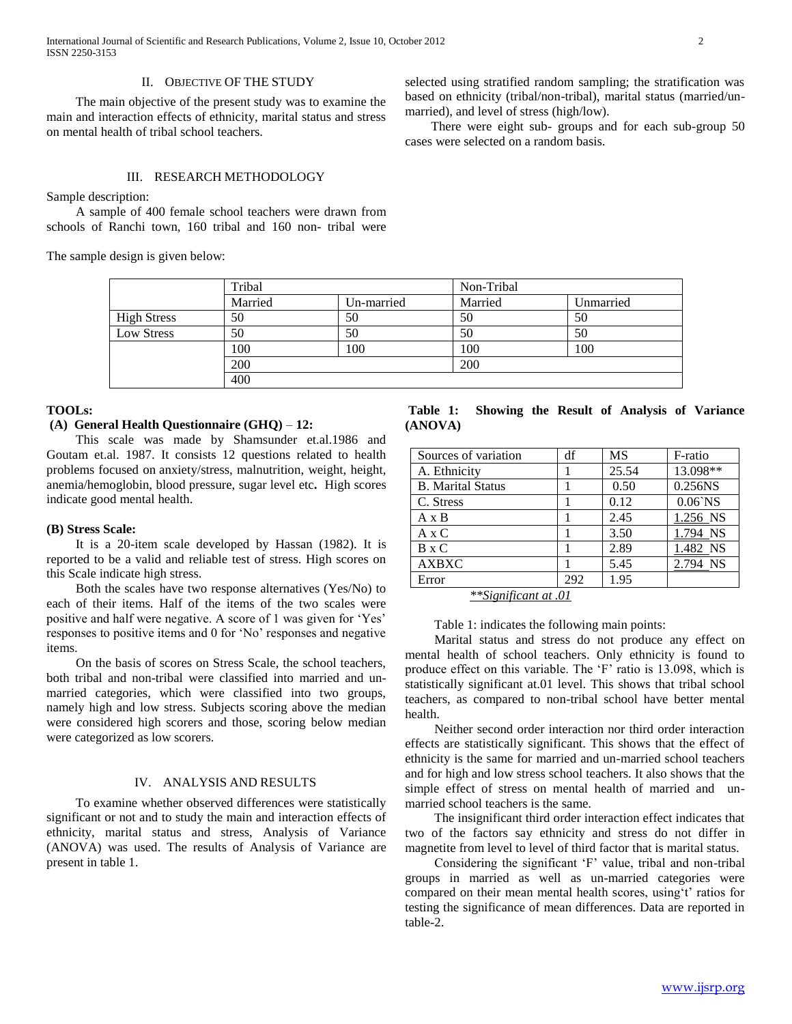International Journal of Scientific and Research Publications, Volume 2, Issue 10, October 2012 2 ISSN 2250-3153

#### II. OBJECTIVE OF THE STUDY

 The main objective of the present study was to examine the main and interaction effects of ethnicity, marital status and stress on mental health of tribal school teachers.

selected using stratified random sampling; the stratification was based on ethnicity (tribal/non-tribal), marital status (married/unmarried), and level of stress (high/low).

 There were eight sub- groups and for each sub-group 50 cases were selected on a random basis.

## III. RESEARCH METHODOLOGY

Sample description:

 A sample of 400 female school teachers were drawn from schools of Ranchi town, 160 tribal and 160 non- tribal were

The sample design is given below:

|                    | Tribal  |            | Non-Tribal |           |  |
|--------------------|---------|------------|------------|-----------|--|
|                    | Married | Un-married | Married    | Unmarried |  |
| <b>High Stress</b> | 50      | 50         | 50         | 50        |  |
| Low Stress         | 50      | 50         | 50         | 50        |  |
|                    | 100     | 100        | 100        | 100       |  |
|                    | 200     |            | 200        |           |  |
|                    | 400     |            |            |           |  |

### **TOOLs:**

## **(A) General Health Questionnaire (GHQ)** *–* **12:**

 This scale was made by Shamsunder et.al.1986 and Goutam et.al. 1987. It consists 12 questions related to health problems focused on anxiety/stress, malnutrition, weight, height, anemia/hemoglobin, blood pressure, sugar level etc**.** High scores indicate good mental health.

## **(B) Stress Scale:**

 It is a 20-item scale developed by Hassan (1982). It is reported to be a valid and reliable test of stress. High scores on this Scale indicate high stress.

 Both the scales have two response alternatives (Yes/No) to each of their items. Half of the items of the two scales were positive and half were negative. A score of 1 was given for "Yes" responses to positive items and 0 for "No" responses and negative items.

 On the basis of scores on Stress Scale, the school teachers, both tribal and non-tribal were classified into married and unmarried categories, which were classified into two groups, namely high and low stress. Subjects scoring above the median were considered high scorers and those, scoring below median were categorized as low scorers.

# IV. ANALYSIS AND RESULTS

 To examine whether observed differences were statistically significant or not and to study the main and interaction effects of ethnicity, marital status and stress, Analysis of Variance (ANOVA) was used. The results of Analysis of Variance are present in table 1.

**Table 1: Showing the Result of Analysis of Variance (ANOVA)** 

| df  | <b>MS</b> | F-ratio    |
|-----|-----------|------------|
|     | 25.54     | 13.098**   |
|     | 0.50      | 0.256NS    |
|     | 0.12      | $0.06$ `NS |
|     | 2.45      | 1.256 NS   |
|     | 3.50      | 1.794 NS   |
|     | 2.89      | 1.482 NS   |
|     | 5.45      | 2.794 NS   |
| 292 | 1.95      |            |
|     | $+ - -$   |            |

*\*\*Significant at .01*

Table 1: indicates the following main points:

 Marital status and stress do not produce any effect on mental health of school teachers. Only ethnicity is found to produce effect on this variable. The "F" ratio is 13.098, which is statistically significant at.01 level. This shows that tribal school teachers, as compared to non-tribal school have better mental health.

 Neither second order interaction nor third order interaction effects are statistically significant. This shows that the effect of ethnicity is the same for married and un-married school teachers and for high and low stress school teachers. It also shows that the simple effect of stress on mental health of married and unmarried school teachers is the same.

 The insignificant third order interaction effect indicates that two of the factors say ethnicity and stress do not differ in magnetite from level to level of third factor that is marital status.

Considering the significant 'F' value, tribal and non-tribal groups in married as well as un-married categories were compared on their mean mental health scores, using't' ratios for testing the significance of mean differences. Data are reported in table-2.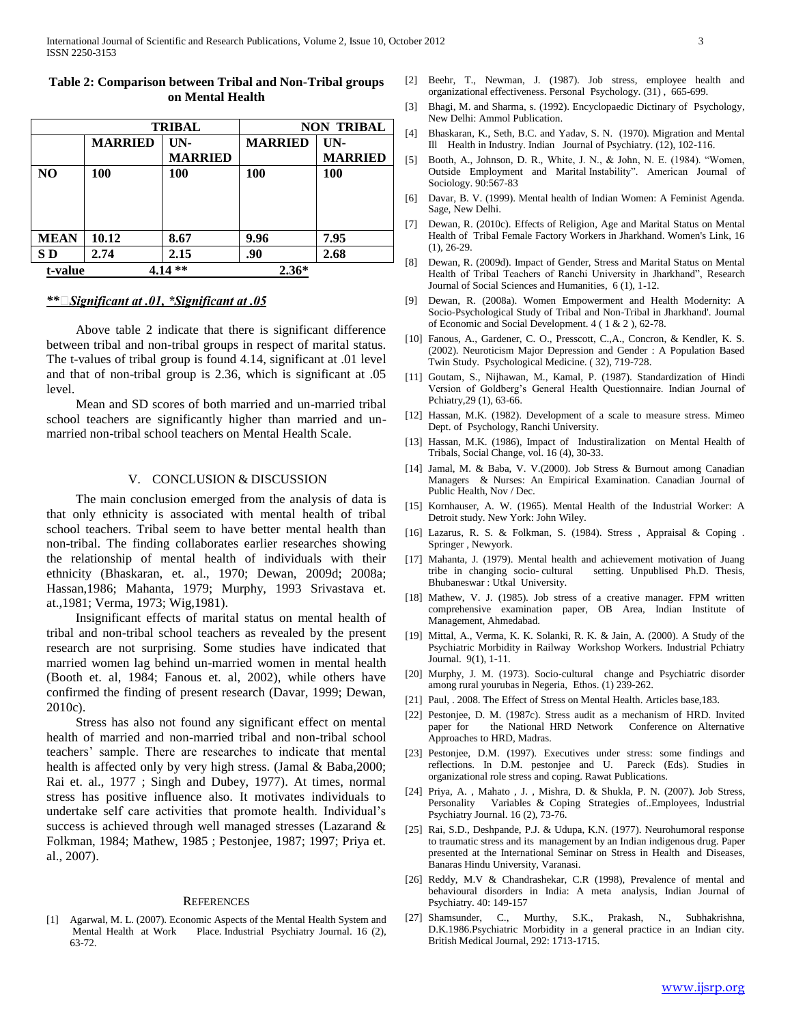|             |                | <b>TRIBAL</b>         | <b>NON TRIBAL</b> |                       |
|-------------|----------------|-----------------------|-------------------|-----------------------|
|             | <b>MARRIED</b> | UN-<br><b>MARRIED</b> | <b>MARRIED</b>    | UN-<br><b>MARRIED</b> |
| NO.         | 100            | 100                   | 100               | 100                   |
| <b>MEAN</b> | 10.12          | 8.67                  | 9.96              | 7.95                  |
| S D         | 2.74           | 2.15                  | .90               | 2.68                  |
| t-value     |                | $***$                 | $2.36*$           |                       |

## **Table 2: Comparison between Tribal and Non-Tribal groups on Mental Health**

## *\*\**

 Above table 2 indicate that there is significant difference between tribal and non-tribal groups in respect of marital status. The t-values of tribal group is found 4.14, significant at .01 level and that of non-tribal group is 2.36, which is significant at .05 level.

 Mean and SD scores of both married and un-married tribal school teachers are significantly higher than married and unmarried non-tribal school teachers on Mental Health Scale.

## V. CONCLUSION & DISCUSSION

 The main conclusion emerged from the analysis of data is that only ethnicity is associated with mental health of tribal school teachers. Tribal seem to have better mental health than non-tribal. The finding collaborates earlier researches showing the relationship of mental health of individuals with their ethnicity (Bhaskaran, et. al., 1970; Dewan, 2009d; 2008a; Hassan,1986; Mahanta, 1979; Murphy, 1993 Srivastava et. at.,1981; Verma, 1973; Wig,1981).

 Insignificant effects of marital status on mental health of tribal and non-tribal school teachers as revealed by the present research are not surprising. Some studies have indicated that married women lag behind un-married women in mental health (Booth et. al, 1984; Fanous et. al, 2002), while others have confirmed the finding of present research (Davar, 1999; Dewan, 2010c).

 Stress has also not found any significant effect on mental health of married and non-married tribal and non-tribal school teachers" sample. There are researches to indicate that mental health is affected only by very high stress. (Jamal & Baba, 2000; Rai et. al., 1977 ; Singh and Dubey, 1977). At times, normal stress has positive influence also. It motivates individuals to undertake self care activities that promote health. Individual"s success is achieved through well managed stresses (Lazarand & Folkman, 1984; Mathew, 1985 ; Pestonjee, 1987; 1997; Priya et. al., 2007).

#### **REFERENCES**

[1] Agarwal, M. L. (2007). Economic Aspects of the Mental Health System and Mental Health at Work Place. Industrial Psychiatry Journal. 16 (2), 63-72.

- [2] Beehr, T., Newman, J. (1987). Job stress, employee health and organizational effectiveness. Personal Psychology. (31) , 665-699.
- [3] Bhagi, M. and Sharma, s. (1992). Encyclopaedic Dictinary of Psychology, New Delhi: Ammol Publication.
- [4] Bhaskaran, K., Seth, B.C. and Yadav, S. N. (1970). Migration and Mental Ill Health in Industry. Indian Journal of Psychiatry. (12), 102-116.
- [5] Booth, A., Johnson, D. R., White, J. N., & John, N. E. (1984). "Women, Outside Employment and Marital Instability". American Journal of Sociology. 90:567-83
- [6] Davar, B. V. (1999). Mental health of Indian Women: A Feminist Agenda. Sage, New Delhi.
- [7] Dewan, R. (2010c). Effects of Religion, Age and Marital Status on Mental Health of Tribal Female Factory Workers in Jharkhand. Women's Link, 16 (1), 26-29.
- [8] Dewan, R. (2009d). Impact of Gender, Stress and Marital Status on Mental Health of Tribal Teachers of Ranchi University in Jharkhand", Research Journal of Social Sciences and Humanities, 6 (1), 1-12.
- [9] Dewan, R. (2008a). Women Empowerment and Health Modernity: A Socio-Psychological Study of Tribal and Non-Tribal in Jharkhand'. Journal of Economic and Social Development. 4 ( 1 & 2 ), 62-78.
- [10] Fanous, A., Gardener, C. O., Presscott, C.,A., Concron, & Kendler, K. S. (2002). Neuroticism Major Depression and Gender : A Population Based Twin Study. Psychological Medicine. ( 32), 719-728.
- [11] Goutam, S., Nijhawan, M., Kamal, P. (1987). Standardization of Hindi Version of Goldberg"s General Health Questionnaire. Indian Journal of Pchiatry,29 (1), 63-66.
- [12] Hassan, M.K. (1982). Development of a scale to measure stress. Mimeo Dept. of Psychology, Ranchi University.
- [13] Hassan, M.K. (1986), Impact of Industiralization on Mental Health of Tribals, Social Change, vol. 16 (4), 30-33.
- [14] Jamal, M. & Baba, V. V.(2000). Job Stress & Burnout among Canadian Managers & Nurses: An Empirical Examination. Canadian Journal of Public Health, Nov / Dec.
- [15] Kornhauser, A. W. (1965). Mental Health of the Industrial Worker: A Detroit study. New York: John Wiley.
- [16] Lazarus, R. S. & Folkman, S. (1984). Stress, Appraisal & Coping. Springer , Newyork.
- [17] Mahanta, J. (1979). Mental health and achievement motivation of Juang tribe in changing socio- cultural setting. Unpublised Ph.D. Thesis, Bhubaneswar : Utkal University.
- [18] Mathew, V. J. (1985). Job stress of a creative manager. FPM written comprehensive examination paper, OB Area, Indian Institute of Management, Ahmedabad.
- [19] Mittal, A., Verma, K. K. Solanki, R. K. & Jain, A. (2000). A Study of the Psychiatric Morbidity in Railway Workshop Workers. Industrial Pchiatry Journal. 9(1), 1-11.
- [20] Murphy, J. M. (1973). Socio-cultural change and Psychiatric disorder among rural yourubas in Negeria, Ethos. (1) 239-262.
- [21] Paul, . 2008. The Effect of Stress on Mental Health. Articles base,183.
- [22] Pestonjee, D. M. (1987c). Stress audit as a mechanism of HRD. Invited the National HRD Network Conference on Alternative Approaches to HRD, Madras.
- [23] Pestonjee, D.M. (1997). Executives under stress: some findings and reflections. In D.M. pestonjee and U. Pareck (Eds). Studies in organizational role stress and coping. Rawat Publications.
- [24] Priya, A. , Mahato , J. , Mishra, D. & Shukla, P. N. (2007). Job Stress, Personality Variables & Coping Strategies of..Employees, Industrial Psychiatry Journal. 16 (2), 73-76.
- [25] Rai, S.D., Deshpande, P.J. & Udupa, K.N. (1977). Neurohumoral response to traumatic stress and its management by an Indian indigenous drug. Paper presented at the International Seminar on Stress in Health and Diseases, Banaras Hindu University, Varanasi.
- [26] Reddy, M.V & Chandrashekar, C.R (1998), Prevalence of mental and behavioural disorders in India: A meta analysis, Indian Journal of Psychiatry. 40: 149-157
- [27] Shamsunder, C., Murthy, S.K., Prakash, N., Subhakrishna, D.K.1986.Psychiatric Morbidity in a general practice in an Indian city. British Medical Journal, 292: 1713-1715.